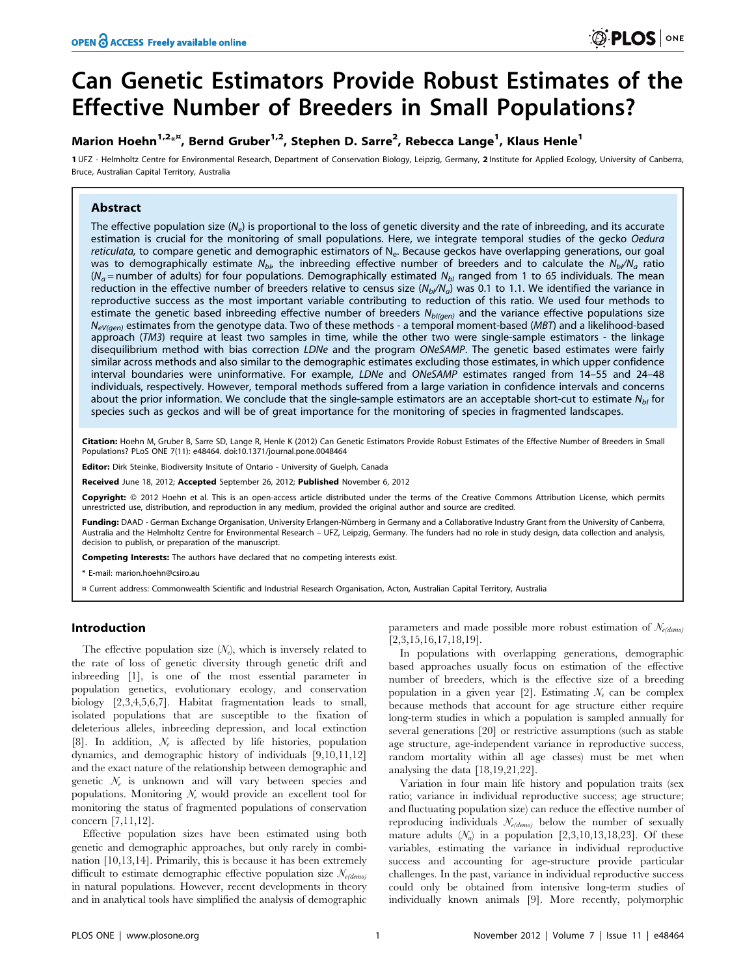# Can Genetic Estimators Provide Robust Estimates of the Effective Number of Breeders in Small Populations?

# Marion Hoehn<sup>1,2\*¤</sup>, Bernd Gruber<sup>1,2</sup>, Stephen D. Sarre<sup>2</sup>, Rebecca Lange<sup>1</sup>, Klaus Henle<sup>1</sup>

1 UFZ - Helmholtz Centre for Environmental Research, Department of Conservation Biology, Leipzig, Germany, 2 Institute for Applied Ecology, University of Canberra, Bruce, Australian Capital Territory, Australia

# Abstract

The effective population size  $(N_e)$  is proportional to the loss of genetic diversity and the rate of inbreeding, and its accurate estimation is crucial for the monitoring of small populations. Here, we integrate temporal studies of the gecko Oedura reticulata, to compare genetic and demographic estimators of  $N_e$ . Because geckos have overlapping generations, our goal was to demographically estimate N<sub>bI</sub>, the inbreeding effective number of breeders and to calculate the N<sub>bI</sub>/N<sub>a</sub> ratio ( $N_a$  = number of adults) for four populations. Demographically estimated  $N_{b1}$  ranged from 1 to 65 individuals. The mean reduction in the effective number of breeders relative to census size ( $N_b/N_a$ ) was 0.1 to 1.1. We identified the variance in reproductive success as the most important variable contributing to reduction of this ratio. We used four methods to estimate the genetic based inbreeding effective number of breeders  $N_{b/(gen)}$  and the variance effective populations size  $N_{eV(aen)}$  estimates from the genotype data. Two of these methods - a temporal moment-based (MBT) and a likelihood-based approach (TM3) require at least two samples in time, while the other two were single-sample estimators - the linkage disequilibrium method with bias correction LDNe and the program ONeSAMP. The genetic based estimates were fairly similar across methods and also similar to the demographic estimates excluding those estimates, in which upper confidence interval boundaries were uninformative. For example, LDNe and ONeSAMP estimates ranged from 14–55 and 24–48 individuals, respectively. However, temporal methods suffered from a large variation in confidence intervals and concerns about the prior information. We conclude that the single-sample estimators are an acceptable short-cut to estimate  $N_{bi}$  for species such as geckos and will be of great importance for the monitoring of species in fragmented landscapes.

Citation: Hoehn M, Gruber B, Sarre SD, Lange R, Henle K (2012) Can Genetic Estimators Provide Robust Estimates of the Effective Number of Breeders in Small Populations? PLoS ONE 7(11): e48464. doi:10.1371/journal.pone.0048464

Editor: Dirk Steinke, Biodiversity Insitute of Ontario - University of Guelph, Canada

Received June 18, 2012; Accepted September 26, 2012; Published November 6, 2012

Copyright: © 2012 Hoehn et al. This is an open-access article distributed under the terms of the Creative Commons Attribution License, which permits unrestricted use, distribution, and reproduction in any medium, provided the original author and source are credited.

Funding: DAAD - German Exchange Organisation, University Erlangen-Nürnberg in Germany and a Collaborative Industry Grant from the University of Canberra, Australia and the Helmholtz Centre for Environmental Research – UFZ, Leipzig, Germany. The funders had no role in study design, data collection and analysis, decision to publish, or preparation of the manuscript.

Competing Interests: The authors have declared that no competing interests exist.

\* E-mail: marion.hoehn@csiro.au

¤ Current address: Commonwealth Scientific and Industrial Research Organisation, Acton, Australian Capital Territory, Australia

# Introduction

The effective population size  $(N_e)$ , which is inversely related to the rate of loss of genetic diversity through genetic drift and inbreeding [1], is one of the most essential parameter in population genetics, evolutionary ecology, and conservation biology [2,3,4,5,6,7]. Habitat fragmentation leads to small, isolated populations that are susceptible to the fixation of deleterious alleles, inbreeding depression, and local extinction [8]. In addition,  $\mathcal{N}_e$  is affected by life histories, population dynamics, and demographic history of individuals [9,10,11,12] and the exact nature of the relationship between demographic and genetic  $\mathcal{N}_e$  is unknown and will vary between species and populations. Monitoring  $N_e$  would provide an excellent tool for monitoring the status of fragmented populations of conservation concern [7,11,12].

Effective population sizes have been estimated using both genetic and demographic approaches, but only rarely in combination [10,13,14]. Primarily, this is because it has been extremely difficult to estimate demographic effective population size  $\mathcal{N}_{e(demo)}$ in natural populations. However, recent developments in theory and in analytical tools have simplified the analysis of demographic

parameters and made possible more robust estimation of  $N_{e(demo)}$ [2,3,15,16,17,18,19].

In populations with overlapping generations, demographic based approaches usually focus on estimation of the effective number of breeders, which is the effective size of a breeding population in a given year [2]. Estimating  $\mathcal{N}_e$  can be complex because methods that account for age structure either require long-term studies in which a population is sampled annually for several generations [20] or restrictive assumptions (such as stable age structure, age-independent variance in reproductive success, random mortality within all age classes) must be met when analysing the data [18,19,21,22].

Variation in four main life history and population traits (sex ratio; variance in individual reproductive success; age structure; and fluctuating population size) can reduce the effective number of reproducing individuals  $N_{e(demo)}$  below the number of sexually mature adults  $(N_a)$  in a population [2,3,10,13,18,23]. Of these variables, estimating the variance in individual reproductive success and accounting for age-structure provide particular challenges. In the past, variance in individual reproductive success could only be obtained from intensive long-term studies of individually known animals [9]. More recently, polymorphic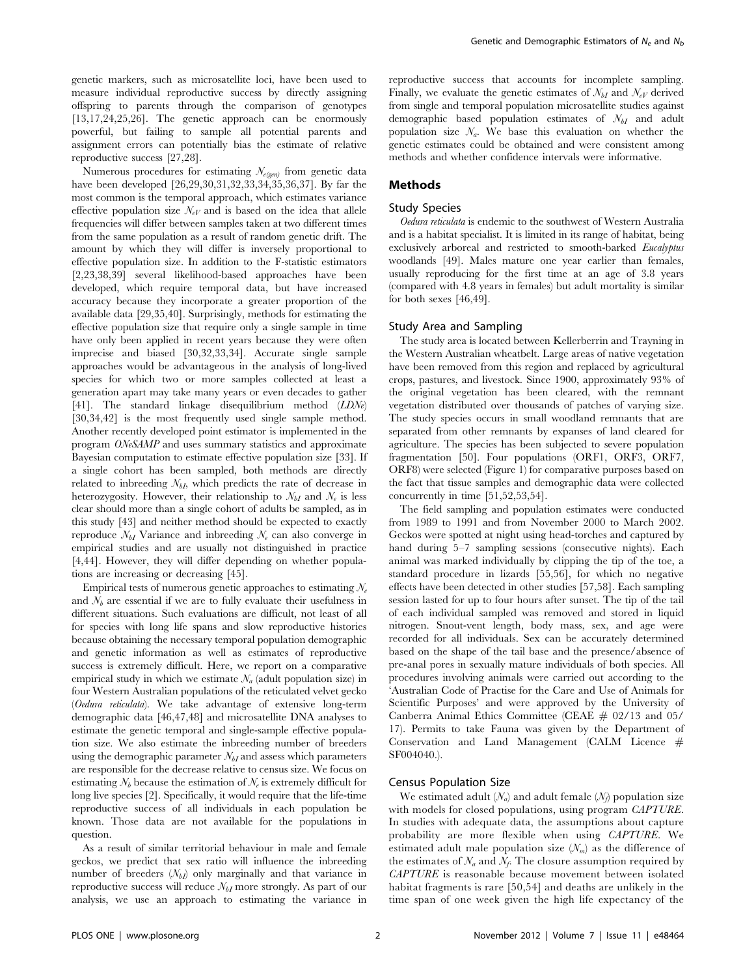genetic markers, such as microsatellite loci, have been used to measure individual reproductive success by directly assigning offspring to parents through the comparison of genotypes [13,17,24,25,26]. The genetic approach can be enormously powerful, but failing to sample all potential parents and assignment errors can potentially bias the estimate of relative reproductive success [27,28].

Numerous procedures for estimating  $N_{e(e_{\ell n})}$  from genetic data have been developed [26,29,30,31,32,33,34,35,36,37]. By far the most common is the temporal approach, which estimates variance effective population size  $\mathcal{N}_{eV}$  and is based on the idea that allele frequencies will differ between samples taken at two different times from the same population as a result of random genetic drift. The amount by which they will differ is inversely proportional to effective population size. In addition to the F-statistic estimators [2,23,38,39] several likelihood-based approaches have been developed, which require temporal data, but have increased accuracy because they incorporate a greater proportion of the available data [29,35,40]. Surprisingly, methods for estimating the effective population size that require only a single sample in time have only been applied in recent years because they were often imprecise and biased [30,32,33,34]. Accurate single sample approaches would be advantageous in the analysis of long-lived species for which two or more samples collected at least a generation apart may take many years or even decades to gather [41]. The standard linkage disequilibrium method (LDNe) [30,34,42] is the most frequently used single sample method. Another recently developed point estimator is implemented in the program ONeSAMP and uses summary statistics and approximate Bayesian computation to estimate effective population size [33]. If a single cohort has been sampled, both methods are directly related to inbreeding  $N_{b}$ , which predicts the rate of decrease in heterozygosity. However, their relationship to  $\mathcal{N}_{bI}$  and  $\mathcal{N}_{e}$  is less clear should more than a single cohort of adults be sampled, as in this study [43] and neither method should be expected to exactly reproduce  $N_{bI}$  Variance and inbreeding  $N_e$  can also converge in empirical studies and are usually not distinguished in practice [4,44]. However, they will differ depending on whether populations are increasing or decreasing [45].

Empirical tests of numerous genetic approaches to estimating  $N_e$ and  $\mathcal{N}_b$  are essential if we are to fully evaluate their usefulness in different situations. Such evaluations are difficult, not least of all for species with long life spans and slow reproductive histories because obtaining the necessary temporal population demographic and genetic information as well as estimates of reproductive success is extremely difficult. Here, we report on a comparative empirical study in which we estimate  $\mathcal{N}_a$  (adult population size) in four Western Australian populations of the reticulated velvet gecko (Oedura reticulata). We take advantage of extensive long-term demographic data [46,47,48] and microsatellite DNA analyses to estimate the genetic temporal and single-sample effective population size. We also estimate the inbreeding number of breeders using the demographic parameter  $N_{bI}$  and assess which parameters are responsible for the decrease relative to census size. We focus on estimating  $N_b$  because the estimation of  $N_e$  is extremely difficult for long live species [2]. Specifically, it would require that the life-time reproductive success of all individuals in each population be known. Those data are not available for the populations in question.

As a result of similar territorial behaviour in male and female geckos, we predict that sex ratio will influence the inbreeding number of breeders  $(N_{bI})$  only marginally and that variance in reproductive success will reduce  $\mathcal{N}_{bI}$  more strongly. As part of our analysis, we use an approach to estimating the variance in reproductive success that accounts for incomplete sampling. Finally, we evaluate the genetic estimates of  $N_{bI}$  and  $N_{eV}$  derived from single and temporal population microsatellite studies against demographic based population estimates of  $N_{bI}$  and adult population size  $\mathcal{N}_a$ . We base this evaluation on whether the genetic estimates could be obtained and were consistent among methods and whether confidence intervals were informative.

## Methods

# Study Species

Oedura reticulata is endemic to the southwest of Western Australia and is a habitat specialist. It is limited in its range of habitat, being exclusively arboreal and restricted to smooth-barked Eucalyptus woodlands [49]. Males mature one year earlier than females, usually reproducing for the first time at an age of 3.8 years (compared with 4.8 years in females) but adult mortality is similar for both sexes [46,49].

#### Study Area and Sampling

The study area is located between Kellerberrin and Trayning in the Western Australian wheatbelt. Large areas of native vegetation have been removed from this region and replaced by agricultural crops, pastures, and livestock. Since 1900, approximately 93% of the original vegetation has been cleared, with the remnant vegetation distributed over thousands of patches of varying size. The study species occurs in small woodland remnants that are separated from other remnants by expanses of land cleared for agriculture. The species has been subjected to severe population fragmentation [50]. Four populations (ORF1, ORF3, ORF7, ORF8) were selected (Figure 1) for comparative purposes based on the fact that tissue samples and demographic data were collected concurrently in time [51,52,53,54].

The field sampling and population estimates were conducted from 1989 to 1991 and from November 2000 to March 2002. Geckos were spotted at night using head-torches and captured by hand during 5–7 sampling sessions (consecutive nights). Each animal was marked individually by clipping the tip of the toe, a standard procedure in lizards [55,56], for which no negative effects have been detected in other studies [57,58]. Each sampling session lasted for up to four hours after sunset. The tip of the tail of each individual sampled was removed and stored in liquid nitrogen. Snout-vent length, body mass, sex, and age were recorded for all individuals. Sex can be accurately determined based on the shape of the tail base and the presence/absence of pre-anal pores in sexually mature individuals of both species. All procedures involving animals were carried out according to the 'Australian Code of Practise for the Care and Use of Animals for Scientific Purposes' and were approved by the University of Canberra Animal Ethics Committee (CEAE  $\#$  02/13 and 05/ 17). Permits to take Fauna was given by the Department of Conservation and Land Management (CALM Licence # SF004040.).

# Census Population Size

We estimated adult  $(N_a)$  and adult female  $(N_f)$  population size with models for closed populations, using program *CAPTURE*. In studies with adequate data, the assumptions about capture probability are more flexible when using CAPTURE. We estimated adult male population size  $(N_m)$  as the difference of the estimates of  $N_a$  and  $N_f$ . The closure assumption required by CAPTURE is reasonable because movement between isolated habitat fragments is rare [50,54] and deaths are unlikely in the time span of one week given the high life expectancy of the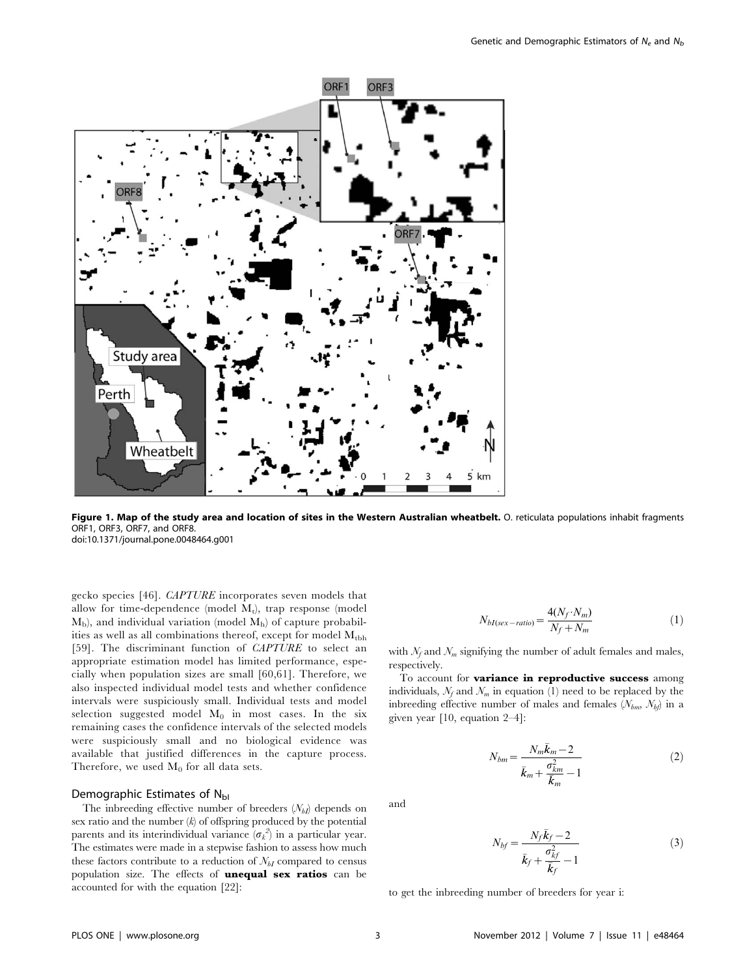

Figure 1. Map of the study area and location of sites in the Western Australian wheatbelt. O. reticulata populations inhabit fragments ORF1, ORF3, ORF7, and ORF8. doi:10.1371/journal.pone.0048464.g001

gecko species [46]. CAPTURE incorporates seven models that allow for time-dependence (model  $M_t$ ), trap response (model  $M<sub>b</sub>$ ), and individual variation (model  $M<sub>b</sub>$ ) of capture probabilities as well as all combinations thereof, except for model  $M_{\text{thh}}$ [59]. The discriminant function of CAPTURE to select an appropriate estimation model has limited performance, especially when population sizes are small [60,61]. Therefore, we also inspected individual model tests and whether confidence intervals were suspiciously small. Individual tests and model selection suggested model  $M_0$  in most cases. In the six remaining cases the confidence intervals of the selected models were suspiciously small and no biological evidence was available that justified differences in the capture process. Therefore, we used  $M_0$  for all data sets.

# Demographic Estimates of  $N_{\text{bl}}$

The inbreeding effective number of breeders  $(N_{bI})$  depends on sex ratio and the number  $(k)$  of offspring produced by the potential parents and its interindividual variance  $(\sigma_k^2)$  in a particular year. The estimates were made in a stepwise fashion to assess how much these factors contribute to a reduction of  $\mathcal{N}_{bI}$  compared to census population size. The effects of **unequal sex ratios** can be accounted for with the equation [22]:

$$
N_{bI(sex-ratio)} = \frac{4(N_f \cdot N_m)}{N_f + N_m} \tag{1}
$$

with  $\mathcal{N}_f$  and  $\mathcal{N}_m$  signifying the number of adult females and males, respectively.

To account for variance in reproductive success among individuals,  $\mathcal{N}_f$  and  $\mathcal{N}_m$  in equation (1) need to be replaced by the inbreeding effective number of males and females  $(N_{bm}, N_{bf})$  in a given year [10, equation 2–4]:

$$
N_{bm} = \frac{N_m \bar{k}_m - 2}{\bar{k}_m + \frac{\sigma_{km}^2}{\bar{k}_m} - 1}
$$
 (2)

and

$$
N_{bf} = \frac{N_f \bar{k}_f - 2}{\bar{k}_f + \frac{\sigma_{kf}^2}{\bar{k}_f} - 1}
$$
\n(3)

to get the inbreeding number of breeders for year i: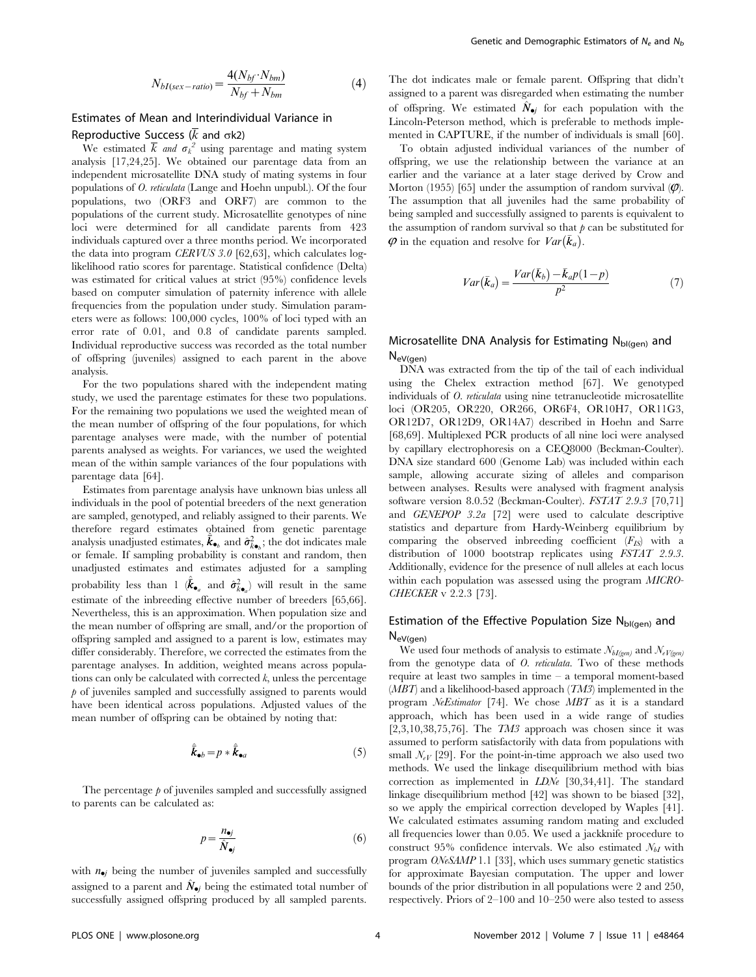$$
N_{bI(sex-ratio)} = \frac{4(N_{bf} \cdot N_{bm})}{N_{bf} + N_{bm}} \tag{4}
$$

# Estimates of Mean and Interindividual Variance in

# Reproductive Success ( $\overline{k}$  and  $\sigma$ k2)

We estimated  $\overline{k}$  and  $\sigma_k^2$  using parentage and mating system analysis [17,24,25]. We obtained our parentage data from an independent microsatellite DNA study of mating systems in four populations of O. reticulata (Lange and Hoehn unpubl.). Of the four populations, two (ORF3 and ORF7) are common to the populations of the current study. Microsatellite genotypes of nine loci were determined for all candidate parents from 423 individuals captured over a three months period. We incorporated the data into program CERVUS 3.0 [62,63], which calculates loglikelihood ratio scores for parentage. Statistical confidence (Delta) was estimated for critical values at strict (95%) confidence levels based on computer simulation of paternity inference with allele frequencies from the population under study. Simulation parameters were as follows: 100,000 cycles, 100% of loci typed with an error rate of 0.01, and 0.8 of candidate parents sampled. Individual reproductive success was recorded as the total number of offspring (juveniles) assigned to each parent in the above analysis.

For the two populations shared with the independent mating study, we used the parentage estimates for these two populations. For the remaining two populations we used the weighted mean of the mean number of offspring of the four populations, for which parentage analyses were made, with the number of potential parents analysed as weights. For variances, we used the weighted mean of the within sample variances of the four populations with parentage data [64].

Estimates from parentage analysis have unknown bias unless all individuals in the pool of potential breeders of the next generation are sampled, genotyped, and reliably assigned to their parents. We therefore regard estimates obtained from genetic parentage analysis unadjusted estimates,  $\vec{k}_{\bullet_b}$  and  $\hat{\sigma}_{k_{\bullet_b}}^2$ ; the dot indicates male or female. If sampling probability is constant and random, then unadjusted estimates and estimates adjusted for a sampling probability less than 1  $\hat{(\vec{k}}_{\bullet_a}$  and  $\hat{\sigma}_{\vec{k}\bullet_a}^2$  will result in the same estimate of the inbreeding effective number of breeders [65,66]. Nevertheless, this is an approximation. When population size and the mean number of offspring are small, and/or the proportion of offspring sampled and assigned to a parent is low, estimates may differ considerably. Therefore, we corrected the estimates from the parentage analyses. In addition, weighted means across populations can only be calculated with corrected  $k$ , unless the percentage  $p$  of juveniles sampled and successfully assigned to parents would have been identical across populations. Adjusted values of the mean number of offspring can be obtained by noting that:

$$
\hat{\vec{k}}_{\bullet b} = p * \hat{\vec{k}}_{\bullet a} \tag{5}
$$

The percentage  $\beta$  of juveniles sampled and successfully assigned to parents can be calculated as:

$$
p = \frac{n_{\bullet j}}{\hat{N}_{\bullet j}}\tag{6}
$$

with  $n_{\bullet i}$  being the number of juveniles sampled and successfully assigned to a parent and  $N_{\bullet j}$  being the estimated total number of successfully assigned offspring produced by all sampled parents.

The dot indicates male or female parent. Offspring that didn't assigned to a parent was disregarded when estimating the number of offspring. We estimated  $\hat{N}_{\bullet j}$  for each population with the Lincoln-Peterson method, which is preferable to methods implemented in CAPTURE, if the number of individuals is small [60].

To obtain adjusted individual variances of the number of offspring, we use the relationship between the variance at an earlier and the variance at a later stage derived by Crow and Morton (1955) [65] under the assumption of random survival  $(\varphi)$ . The assumption that all juveniles had the same probability of being sampled and successfully assigned to parents is equivalent to the assumption of random survival so that  $\beta$  can be substituted for in the equation and resolve for  $Var(\vec{k}_a)$ .

$$
Var(\bar{k}_a) = \frac{Var(\bar{k}_b) - \bar{k}_{a}p(1-p)}{p^2} \tag{7}
$$

# Microsatellite DNA Analysis for Estimating  $N_{bI(qen)}$  and NeV(gen)

DNA was extracted from the tip of the tail of each individual using the Chelex extraction method [67]. We genotyped individuals of O. reticulata using nine tetranucleotide microsatellite loci (OR205, OR220, OR266, OR6F4, OR10H7, OR11G3, OR12D7, OR12D9, OR14A7) described in Hoehn and Sarre [68,69]. Multiplexed PCR products of all nine loci were analysed by capillary electrophoresis on a CEQ8000 (Beckman-Coulter). DNA size standard 600 (Genome Lab) was included within each sample, allowing accurate sizing of alleles and comparison between analyses. Results were analysed with fragment analysis software version 8.0.52 (Beckman-Coulter). FSTAT 2.9.3 [70,71] and GENEPOP 3.2a [72] were used to calculate descriptive statistics and departure from Hardy-Weinberg equilibrium by comparing the observed inbreeding coefficient  $(F_{IS})$  with a distribution of 1000 bootstrap replicates using FSTAT 2.9.3. Additionally, evidence for the presence of null alleles at each locus within each population was assessed using the program MICRO-CHECKER v 2.2.3 [73].

# Estimation of the Effective Population Size  $N_{bl(gen)}$  and NeV(gen)

We used four methods of analysis to estimate  $N_{bI(gen)}$  and  $N_{eV(gen)}$ from the genotype data of *O. reticulata*. Two of these methods require at least two samples in time – a temporal moment-based  $(MBT)$  and a likelihood-based approach  $(TM3)$  implemented in the program NeEstimator [74]. We chose MBT as it is a standard approach, which has been used in a wide range of studies  $[2,3,10,38,75,76]$ . The *TM3* approach was chosen since it was assumed to perform satisfactorily with data from populations with small  $\mathcal{N}_{eV}$  [29]. For the point-in-time approach we also used two methods. We used the linkage disequilibrium method with bias correction as implemented in LDNe [30,34,41]. The standard linkage disequilibrium method [42] was shown to be biased [32], so we apply the empirical correction developed by Waples [41]. We calculated estimates assuming random mating and excluded all frequencies lower than 0.05. We used a jackknife procedure to construct 95% confidence intervals. We also estimated  $\mathcal{N}_{bI}$  with program ONeSAMP 1.1 [33], which uses summary genetic statistics for approximate Bayesian computation. The upper and lower bounds of the prior distribution in all populations were 2 and 250, respectively. Priors of 2–100 and 10–250 were also tested to assess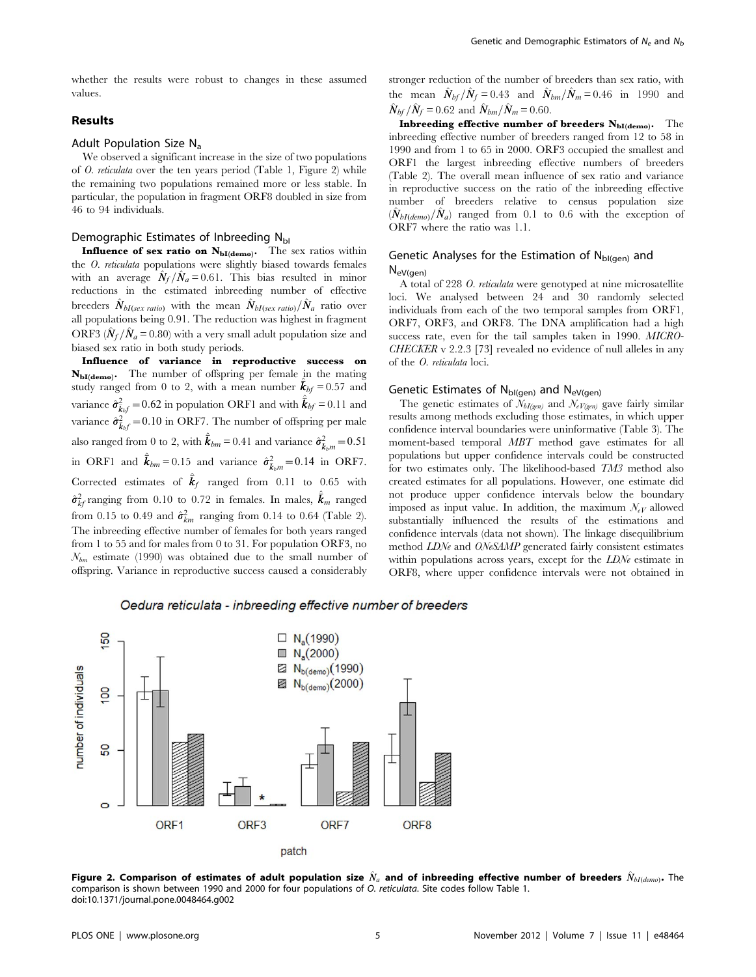whether the results were robust to changes in these assumed values.

# Results

# Adult Population Size Na

We observed a significant increase in the size of two populations of O. reticulata over the ten years period (Table 1, Figure 2) while the remaining two populations remained more or less stable. In particular, the population in fragment ORF8 doubled in size from 46 to 94 individuals.

# Demographic Estimates of Inbreeding NbI

Influence of sex ratio on  $N_{\text{bl(demo)}}$ . The sex ratios within the O. reticulata populations were slightly biased towards females with an average  $\hat{N}_f / \hat{N}_a = 0.61$ . This bias resulted in minor reductions in the estimated inbreeding number of effective breeders  $\hat{N}_{bI(sex \; ratio)}$  with the mean  $\hat{N}_{bI(sex \; ratio)}/\hat{N}_a$  ratio over all populations being 0.91. The reduction was highest in fragment ORF3 ( $\hat{N}_f / \hat{N}_a = 0.80$ ) with a very small adult population size and biased sex ratio in both study periods.

Influence of variance in reproductive success on NbI(demo). The number of offspring per female in the mating study ranged from 0 to 2, with a mean number  $\vec{k}_{bf} = 0.57$  and variance  $\hat{\sigma}_{\tilde{k}_bf}^2 = 0.62$  in population ORF1 and with  $\hat{\bar{k}}_{bf} = 0.11$  and variance  $\hat{\sigma}_{\vec{k}_bf}^2 = 0.10$  in ORF7. The number of offspring per male also ranged from 0 to 2, with  $\hat{\vec{k}}_{bm} = 0.41$  and variance  $\hat{\sigma}^2_{\vec{k}_{bm}} = 0.51$ in ORF1 and  $\hat{k}_{bm} = 0.15$  and variance  $\hat{\sigma}^2_{\bar{k}_b m} = 0.14$  in ORF7. Corrected estimates of  $\hat{\bar{\mathbf{k}}}_f$  ranged from 0.11 to 0.65 with  $\hat{\sigma}_{kf}^2$  ranging from 0.10 to 0.72 in females. In males,  $\hat{\bar{\mathcal{K}}}_m$  ranged from 0.15 to 0.49 and  $\hat{\sigma}_{km}^2$  ranging from 0.14 to 0.64 (Table 2). The inbreeding effective number of females for both years ranged from 1 to 55 and for males from 0 to 31. For population ORF3, no  $N_{bm}$  estimate (1990) was obtained due to the small number of offspring. Variance in reproductive success caused a considerably

stronger reduction of the number of breeders than sex ratio, with the mean  $\hat{N}_{bf}/\hat{N}_f = 0.43$  and  $\hat{N}_{bm}/\hat{N}_m = 0.46$  in 1990 and  $\hat{N}_{bf} / \hat{N}_{f} = 0.62$  and  $\hat{N}_{bm}/\hat{N}_{m} = 0.60$ .

Inbreeding effective number of breeders  $N_{\text{bl(demo)}}$ . The inbreeding effective number of breeders ranged from 12 to 58 in 1990 and from 1 to 65 in 2000. ORF3 occupied the smallest and ORF1 the largest inbreeding effective numbers of breeders (Table 2). The overall mean influence of sex ratio and variance in reproductive success on the ratio of the inbreeding effective number of breeders relative to census population size  $(\hat{N}_{bI(demo)}/\hat{N}_a)$  ranged from 0.1 to 0.6 with the exception of ORF7 where the ratio was 1.1.

# Genetic Analyses for the Estimation of  $N_{bl(qen)}$  and

NeV(gen)

A total of 228 O. reticulata were genotyped at nine microsatellite loci. We analysed between 24 and 30 randomly selected individuals from each of the two temporal samples from ORF1, ORF7, ORF3, and ORF8. The DNA amplification had a high success rate, even for the tail samples taken in 1990. MICRO- $CHECKER$  v 2.2.3 [73] revealed no evidence of null alleles in any of the O. reticulata loci.

# Genetic Estimates of  $N_{bl(gen)}$  and  $N_{eV(gen)}$

The genetic estimates of  $\bar{N}_{bI(gen)}$  and  $\bar{N}_{eV(gen)}$  gave fairly similar results among methods excluding those estimates, in which upper confidence interval boundaries were uninformative (Table 3). The moment-based temporal MBT method gave estimates for all populations but upper confidence intervals could be constructed for two estimates only. The likelihood-based TM3 method also created estimates for all populations. However, one estimate did not produce upper confidence intervals below the boundary imposed as input value. In addition, the maximum  $\mathcal{N}_{eV}$  allowed substantially influenced the results of the estimations and confidence intervals (data not shown). The linkage disequilibrium method LDNe and ONeSAMP generated fairly consistent estimates within populations across years, except for the LDNe estimate in ORF8, where upper confidence intervals were not obtained in

Oedura reticulata - inbreeding effective number of breeders



Figure 2. Comparison of estimates of adult population size  $\hat{N}_a$  and of inbreeding effective number of breeders  $\hat{N}_{bI(demo)}$ . The comparison is shown between 1990 and 2000 for four populations of O. reticulata. Site codes follow Table 1. doi:10.1371/journal.pone.0048464.g002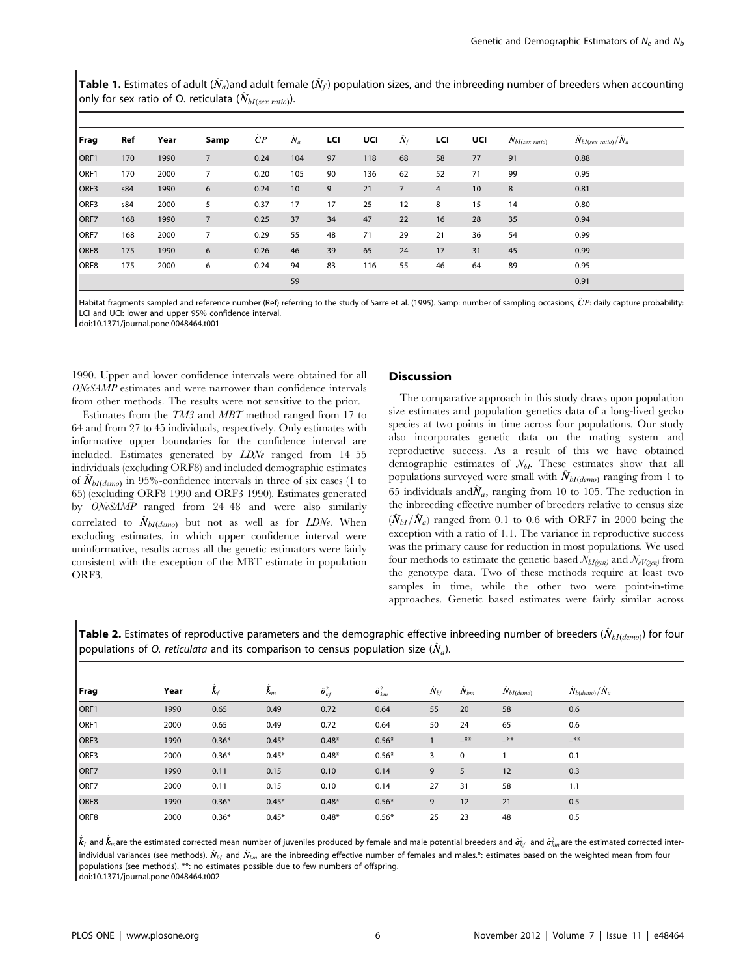**Table 1.** Estimates of adult ( $\hat{N}_a$ )and adult female ( $\hat{N}_f$ ) population sizes, and the inbreeding number of breeders when accounting only for sex ratio of O. reticulata  $(\hat{N}_{bI(sex\ ratio)}).$ 

| Frag             | Ref | Year | Samp           | $\hat{C}P$ | $\hat{N}_a$ | LCI | UCI | $\hat{N}_f$    | LCI            | UCI | $\hat{N}_{bI(sex\ ratio)}$ | $\hat{N}_{bI(sex \; ratio)}/\hat{N}_a$ |
|------------------|-----|------|----------------|------------|-------------|-----|-----|----------------|----------------|-----|----------------------------|----------------------------------------|
| ORF1             | 170 | 1990 | $\overline{7}$ | 0.24       | 104         | 97  | 118 | 68             | 58             | 77  | 91                         | 0.88                                   |
| ORF1             | 170 | 2000 | 7              | 0.20       | 105         | 90  | 136 | 62             | 52             | 71  | 99                         | 0.95                                   |
| ORF3             | s84 | 1990 | 6              | 0.24       | 10          | 9   | 21  | $\overline{7}$ | $\overline{4}$ | 10  | 8                          | 0.81                                   |
| ORF3             | s84 | 2000 | 5              | 0.37       | 17          | 17  | 25  | 12             | 8              | 15  | 14                         | 0.80                                   |
| ORF7             | 168 | 1990 | $\overline{7}$ | 0.25       | 37          | 34  | 47  | 22             | 16             | 28  | 35                         | 0.94                                   |
| ORF7             | 168 | 2000 | $\overline{7}$ | 0.29       | 55          | 48  | 71  | 29             | 21             | 36  | 54                         | 0.99                                   |
| ORF <sub>8</sub> | 175 | 1990 | 6              | 0.26       | 46          | 39  | 65  | 24             | 17             | 31  | 45                         | 0.99                                   |
| ORF <sub>8</sub> | 175 | 2000 | 6              | 0.24       | 94          | 83  | 116 | 55             | 46             | 64  | 89                         | 0.95                                   |
|                  |     |      |                |            | 59          |     |     |                |                |     |                            | 0.91                                   |

Habitat fragments sampled and reference number (Ref) referring to the study of Sarre et al. (1995). Samp: number of sampling occasions, CP: daily capture probability: LCI and UCI: lower and upper 95% confidence interval.

doi:10.1371/journal.pone.0048464.t001

1990. Upper and lower confidence intervals were obtained for all ONeSAMP estimates and were narrower than confidence intervals from other methods. The results were not sensitive to the prior.

Estimates from the TM3 and MBT method ranged from 17 to 64 and from 27 to 45 individuals, respectively. Only estimates with informative upper boundaries for the confidence interval are included. Estimates generated by LDNe ranged from 14–55 individuals (excluding ORF8) and included demographic estimates of  $N_{bI(demo)}$  in 95%-confidence intervals in three of six cases (1 to 65) (excluding ORF8 1990 and ORF3 1990). Estimates generated by ONeSAMP ranged from 24–48 and were also similarly correlated to  $\ddot{N}_{bI(demo)}$  but not as well as for LDNe. When excluding estimates, in which upper confidence interval were uninformative, results across all the genetic estimators were fairly consistent with the exception of the MBT estimate in population ORF3.

## **Discussion**

The comparative approach in this study draws upon population size estimates and population genetics data of a long-lived gecko species at two points in time across four populations. Our study also incorporates genetic data on the mating system and reproductive success. As a result of this we have obtained demographic estimates of  $\mathcal{N}_{bI}$ . These estimates show that all populations surveyed were small with  $N_{bI(demo)}$  ranging from 1 to 65 individuals and  $\hat{N}_a$ , ranging from 10 to 105. The reduction in the inbreeding effective number of breeders relative to census size  $(\hat{N}_{bI}/\hat{N}_a)$  ranged from 0.1 to 0.6 with ORF7 in 2000 being the exception with a ratio of 1.1. The variance in reproductive success was the primary cause for reduction in most populations. We used four methods to estimate the genetic based  $\mathcal{N}_{bI(gen)}$  and  $\mathcal{N}_{eV(gen)}$  from the genotype data. Two of these methods require at least two samples in time, while the other two were point-in-time approaches. Genetic based estimates were fairly similar across

| populations of O. reticulata and its comparison to census population size $(N_a)$ . |      |      |       |      |                 |          |          |                |                   |  |  |
|-------------------------------------------------------------------------------------|------|------|-------|------|-----------------|----------|----------|----------------|-------------------|--|--|
|                                                                                     |      |      |       |      |                 |          |          |                |                   |  |  |
| Frag                                                                                | Year |      | $k_m$ |      | $\sigma_{km}^2$ | $N_{hf}$ | $N_{bm}$ | $N_{bI(demo)}$ | $N_{b(demo)}/N_a$ |  |  |
| ORF1                                                                                | 1990 | 0.65 | 0.49  | 0.72 | 0.64            |          | 20       | 58             | 0.6               |  |  |

ORF1 2000 0.65 0.49 0.72 0.64 50 24 65 0.6 ORF3 1990 0.36\* 0.45\* 0.48\* 0.56\* 1 –\*\* –\*\* –\*\*  $\mathsf{ORF3}$  2000 0.36\* 0.45\* 0.48\* 0.56\* 3 0 1 0.1 ORF7 1990 0.11 0.15 0.10 0.14 9 5 12 0.3 ORF7 2000 0.11 0.15 0.10 0.14 27 31 58 1.1  $ORF8$  1990  $0.36^*$   $0.45^*$   $0.48^*$   $0.56^*$  9 12 21 0.5  $\mathrm{ORF8}$  2000 0.36\* 0.45\* 0.48\* 0.56\* 25 23 48 0.5

**Table 2.** Estimates of reproductive parameters and the demographic effective inbreeding number of breeders ( $\hat{N}_{bI(demo)}$ ) for four populations of O. reticulata and its comparison to census population size  $(\hat{N}_a)$ .

 $\hat{\bm{k}}_f$  and  $\hat{\bm{k}}_m$ are the estimated corrected mean number of juveniles produced by female and male potential breeders and  $\hat{\sigma}^2_{k f}$  and  $\hat{\sigma}^2_{k m}$ are the estimated corrected interindividual variances (see methods).  $\hat{N}_{bf}$  and  $\hat{N}_{bm}$  are the inbreeding effective number of females and males.\*: estimates based on the weighted mean from four populations (see methods). \*\*: no estimates possible due to few numbers of offspring. doi:10.1371/journal.pone.0048464.t002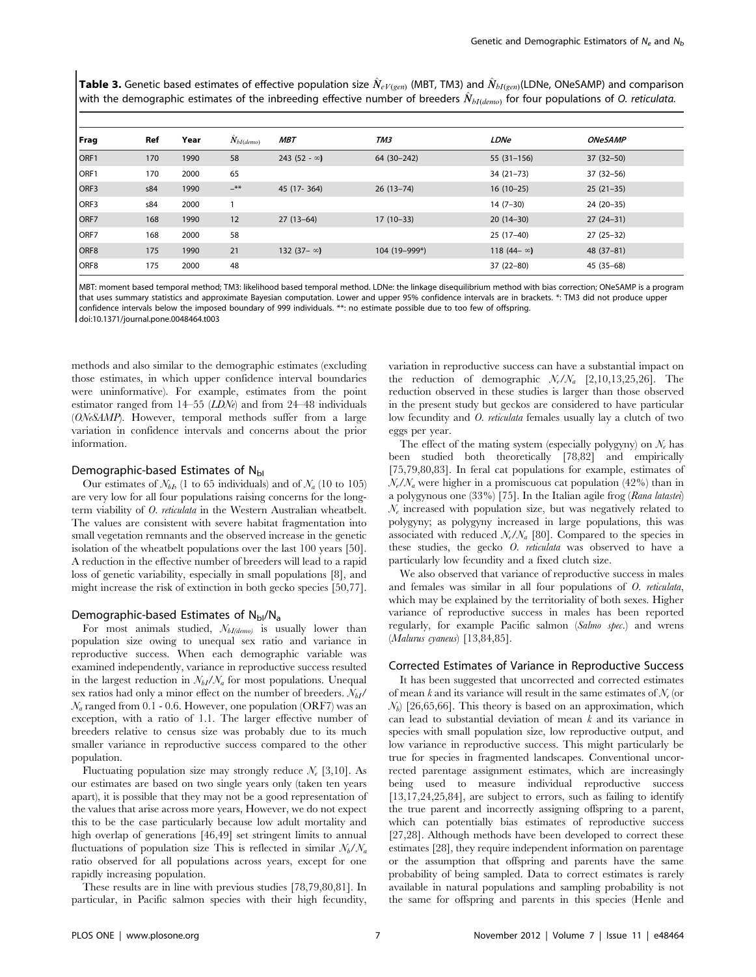**Table 3.** Genetic based estimates of effective population size  $\hat{N}_{eV(gen)}$  (MBT, TM3) and  $\hat{N}_{bI(gen)}$ (LDNe, ONeSAMP) and comparison with the demographic estimates of the inbreeding effective number of breeders  $\hat{N}_{bI(demo)}$  for four populations of O. reticulata.

| Frag | Ref | Year | $\hat{N}_{bI(demo)}$ | <b>MBT</b>           | TM3           | <b>LDNe</b>         | <b>ONeSAMP</b> |
|------|-----|------|----------------------|----------------------|---------------|---------------------|----------------|
| ORF1 | 170 | 1990 | 58                   | 243 (52 - $\infty$ ) | 64 (30-242)   | $55(31-156)$        | $37(32 - 50)$  |
| ORF1 | 170 | 2000 | 65                   |                      |               | $34(21-73)$         | $37(32 - 56)$  |
| ORF3 | s84 | 1990 | $-$ **               | 45 (17-364)          | $26(13-74)$   | $16(10-25)$         | $25(21-35)$    |
| ORF3 | s84 | 2000 |                      |                      |               | $14(7-30)$          | $24(20-35)$    |
| ORF7 | 168 | 1990 | 12                   | $27(13-64)$          | $17(10-33)$   | $20(14-30)$         | $27(24-31)$    |
| ORF7 | 168 | 2000 | 58                   |                      |               | $25(17-40)$         | $27(25-32)$    |
| ORF8 | 175 | 1990 | 21                   | 132 (37– $\infty$ )  | 104 (19-999*) | 118 $(44 - \infty)$ | 48 (37-81)     |
| ORF8 | 175 | 2000 | 48                   |                      |               | $37(22 - 80)$       | $45(35-68)$    |

MBT: moment based temporal method; TM3: likelihood based temporal method. LDNe: the linkage disequilibrium method with bias correction; ONeSAMP is a program that uses summary statistics and approximate Bayesian computation. Lower and upper 95% confidence intervals are in brackets. \*: TM3 did not produce upper confidence intervals below the imposed boundary of 999 individuals. \*\*: no estimate possible due to too few of offspring. doi:10.1371/journal.pone.0048464.t003

methods and also similar to the demographic estimates (excluding those estimates, in which upper confidence interval boundaries were uninformative). For example, estimates from the point estimator ranged from 14–55 (LDNe) and from 24–48 individuals (ONeSAMP). However, temporal methods suffer from a large variation in confidence intervals and concerns about the prior information.

# Demographic-based Estimates of  $N_{\text{bl}}$

Our estimates of  $\mathcal{N}_{bI}$ , (1 to 65 individuals) and of  $\mathcal{N}_{a}$  (10 to 105) are very low for all four populations raising concerns for the longterm viability of O. reticulata in the Western Australian wheatbelt. The values are consistent with severe habitat fragmentation into small vegetation remnants and the observed increase in the genetic isolation of the wheatbelt populations over the last 100 years [50]. A reduction in the effective number of breeders will lead to a rapid loss of genetic variability, especially in small populations [8], and might increase the risk of extinction in both gecko species [50,77].

#### Demographic-based Estimates of  $N_{\text{bl}}/N_{\text{a}}$

For most animals studied,  $N_{bI(demo)}$  is usually lower than population size owing to unequal sex ratio and variance in reproductive success. When each demographic variable was examined independently, variance in reproductive success resulted in the largest reduction in  $\mathcal{N}_{bI}/\mathcal{N}_a$  for most populations. Unequal sex ratios had only a minor effect on the number of breeders.  $N_{bI}/$  $\mathcal{N}_a$  ranged from 0.1 - 0.6. However, one population (ORF7) was an exception, with a ratio of 1.1. The larger effective number of breeders relative to census size was probably due to its much smaller variance in reproductive success compared to the other population.

Fluctuating population size may strongly reduce  $\mathcal{N}_e$  [3,10]. As our estimates are based on two single years only (taken ten years apart), it is possible that they may not be a good representation of the values that arise across more years, However, we do not expect this to be the case particularly because low adult mortality and high overlap of generations [46,49] set stringent limits to annual fluctuations of population size This is reflected in similar  $N_b/N_a$ ratio observed for all populations across years, except for one rapidly increasing population.

These results are in line with previous studies [78,79,80,81]. In particular, in Pacific salmon species with their high fecundity,

variation in reproductive success can have a substantial impact on the reduction of demographic  $N_e/N_a$  [2,10,13,25,26]. The reduction observed in these studies is larger than those observed in the present study but geckos are considered to have particular low fecundity and O. reticulata females usually lay a clutch of two eggs per year.

The effect of the mating system (especially polygyny) on  $\mathcal{N}_e$  has been studied both theoretically [78,82] and empirically [75,79,80,83]. In feral cat populations for example, estimates of  $N_e/N_a$  were higher in a promiscuous cat population (42%) than in a polygynous one (33%) [75]. In the Italian agile frog (Rana latastei)  $\mathcal{N}_e$  increased with population size, but was negatively related to polygyny; as polygyny increased in large populations, this was associated with reduced  $N_e/N_a$  [80]. Compared to the species in these studies, the gecko O. reticulata was observed to have a particularly low fecundity and a fixed clutch size.

We also observed that variance of reproductive success in males and females was similar in all four populations of O. reticulata, which may be explained by the territoriality of both sexes. Higher variance of reproductive success in males has been reported regularly, for example Pacific salmon (Salmo spec.) and wrens (Malurus cyaneus) [13,84,85].

#### Corrected Estimates of Variance in Reproductive Success

It has been suggested that uncorrected and corrected estimates of mean k and its variance will result in the same estimates of  $\mathcal{N}_e$  (or  $N_b$  [26,65,66]. This theory is based on an approximation, which can lead to substantial deviation of mean k and its variance in species with small population size, low reproductive output, and low variance in reproductive success. This might particularly be true for species in fragmented landscapes. Conventional uncorrected parentage assignment estimates, which are increasingly being used to measure individual reproductive success [13,17,24,25,84], are subject to errors, such as failing to identify the true parent and incorrectly assigning offspring to a parent, which can potentially bias estimates of reproductive success [27,28]. Although methods have been developed to correct these estimates [28], they require independent information on parentage or the assumption that offspring and parents have the same probability of being sampled. Data to correct estimates is rarely available in natural populations and sampling probability is not the same for offspring and parents in this species (Henle and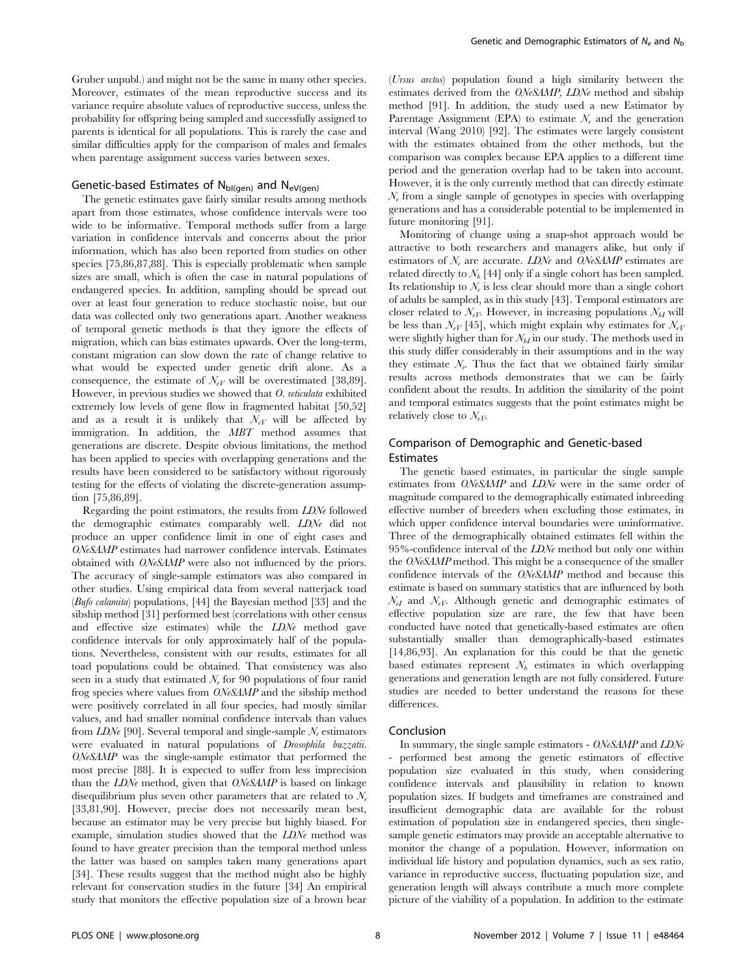Gruber unpubl.) and might not be the same in many other species. Moreover, estimates of the mean reproductive success and its variance require absolute values of reproductive success, unless the probability for offspring being sampled and successfully assigned to parents is identical for all populations. This is rarely the case and similar difficulties apply for the comparison of males and females when parentage assignment success varies between sexes.

# Genetic-based Estimates of  $N_{bl(gen)}$  and  $N_{eV(gen)}$

The genetic estimates gave fairly similar results among methods apart from those estimates, whose confidence intervals were too wide to be informative. Temporal methods suffer from a large variation in confidence intervals and concerns about the prior information, which has also been reported from studies on other species [75,86,87,88]. This is especially problematic when sample sizes are small, which is often the case in natural populations of endangered species. In addition, sampling should be spread out over at least four generation to reduce stochastic noise, but our data was collected only two generations apart. Another weakness of temporal genetic methods is that they ignore the effects of migration, which can bias estimates upwards. Over the long-term, constant migration can slow down the rate of change relative to what would be expected under genetic drift alone. As a consequence, the estimate of  $\mathcal{N}_{eV}$  will be overestimated [38,89]. However, in previous studies we showed that O. reticulata exhibited extremely low levels of gene flow in fragmented habitat [50,52] and as a result it is unlikely that  $\mathcal{N}_{eV}$  will be affected by immigration. In addition, the MBT method assumes that generations are discrete. Despite obvious limitations, the method has been applied to species with overlapping generations and the results have been considered to be satisfactory without rigorously testing for the effects of violating the discrete-generation assumption [75,86,89].

Regarding the point estimators, the results from LDNe followed the demographic estimates comparably well. LDNe did not produce an upper confidence limit in one of eight cases and ONeSAMP estimates had narrower confidence intervals. Estimates obtained with ONeSAMP were also not influenced by the priors. The accuracy of single-sample estimators was also compared in other studies. Using empirical data from several natterjack toad (Bufo calamita) populations, [44] the Bayesian method [33] and the sibship method [31] performed best (correlations with other census and effective size estimates) while the LDNe method gave confidence intervals for only approximately half of the populations. Nevertheless, consistent with our results, estimates for all toad populations could be obtained. That consistency was also seen in a study that estimated  $\mathcal{N}_e$  for 90 populations of four ranid frog species where values from ONeSAMP and the sibship method were positively correlated in all four species, had mostly similar values, and had smaller nominal confidence intervals than values from  $LDN_{\ell}$  [90]. Several temporal and single-sample  $N_{\ell}$  estimators were evaluated in natural populations of Drosophila buzzatii. ONeSAMP was the single-sample estimator that performed the most precise [88]. It is expected to suffer from less imprecision than the LDNe method, given that ONeSAMP is based on linkage disequilibrium plus seven other parameters that are related to  $\mathcal{N}_e$ [33,81,90]. However, precise does not necessarily mean best, because an estimator may be very precise but highly biased. For example, simulation studies showed that the LDNe method was found to have greater precision than the temporal method unless the latter was based on samples taken many generations apart [34]. These results suggest that the method might also be highly relevant for conservation studies in the future [34] An empirical study that monitors the effective population size of a brown bear

(Ursus arctos) population found a high similarity between the estimates derived from the ONeSAMP, LDNe method and sibship method [91]. In addition, the study used a new Estimator by Parentage Assignment (EPA) to estimate  $\mathcal{N}_e$  and the generation interval (Wang 2010) [92]. The estimates were largely consistent with the estimates obtained from the other methods, but the comparison was complex because EPA applies to a different time period and the generation overlap had to be taken into account. However, it is the only currently method that can directly estimate  $\mathcal{N}_{e}$  from a single sample of genotypes in species with overlapping generations and has a considerable potential to be implemented in future monitoring [91].

Monitoring of change using a snap-shot approach would be attractive to both researchers and managers alike, but only if estimators of  $N_e$  are accurate. LDNe and ONeSAMP estimates are related directly to  $\mathcal{N}_b$  [44] only if a single cohort has been sampled. Its relationship to  $\mathcal{N}_e$  is less clear should more than a single cohort of adults be sampled, as in this study [43]. Temporal estimators are closer related to  $\mathcal{N}_{eV}$ . However, in increasing populations  $\mathcal{N}_{bI}$  will be less than  $\mathcal{N}_{eV}$  [45], which might explain why estimates for  $\mathcal{N}_{eV}$ were slightly higher than for  $\mathcal{N}_{bI}$  in our study. The methods used in this study differ considerably in their assumptions and in the way they estimate  $\mathcal{N}_{e}$ . Thus the fact that we obtained fairly similar results across methods demonstrates that we can be fairly confident about the results. In addition the similarity of the point and temporal estimates suggests that the point estimates might be relatively close to  $\mathcal{N}_{eV}$ .

# Comparison of Demographic and Genetic-based Estimates

The genetic based estimates, in particular the single sample estimates from ONeSAMP and LDNe were in the same order of magnitude compared to the demographically estimated inbreeding effective number of breeders when excluding those estimates, in which upper confidence interval boundaries were uninformative. Three of the demographically obtained estimates fell within the 95%-confidence interval of the LDNe method but only one within the ONeSAMP method. This might be a consequence of the smaller confidence intervals of the ONeSAMP method and because this estimate is based on summary statistics that are influenced by both  $\mathcal{N}_{eI}$  and  $\mathcal{N}_{eV}$ . Although genetic and demographic estimates of effective population size are rare, the few that have been conducted have noted that genetically-based estimates are often substantially smaller than demographically-based estimates [14,86,93]. An explanation for this could be that the genetic based estimates represent  $N_b$  estimates in which overlapping generations and generation length are not fully considered. Future studies are needed to better understand the reasons for these differences.

#### Conclusion

In summary, the single sample estimators - ONeSAMP and LDNe - performed best among the genetic estimators of effective population size evaluated in this study, when considering confidence intervals and plausibility in relation to known population sizes. If budgets and timeframes are constrained and insufficient demographic data are available for the robust estimation of population size in endangered species, then singlesample genetic estimators may provide an acceptable alternative to monitor the change of a population. However, information on individual life history and population dynamics, such as sex ratio, variance in reproductive success, fluctuating population size, and generation length will always contribute a much more complete picture of the viability of a population. In addition to the estimate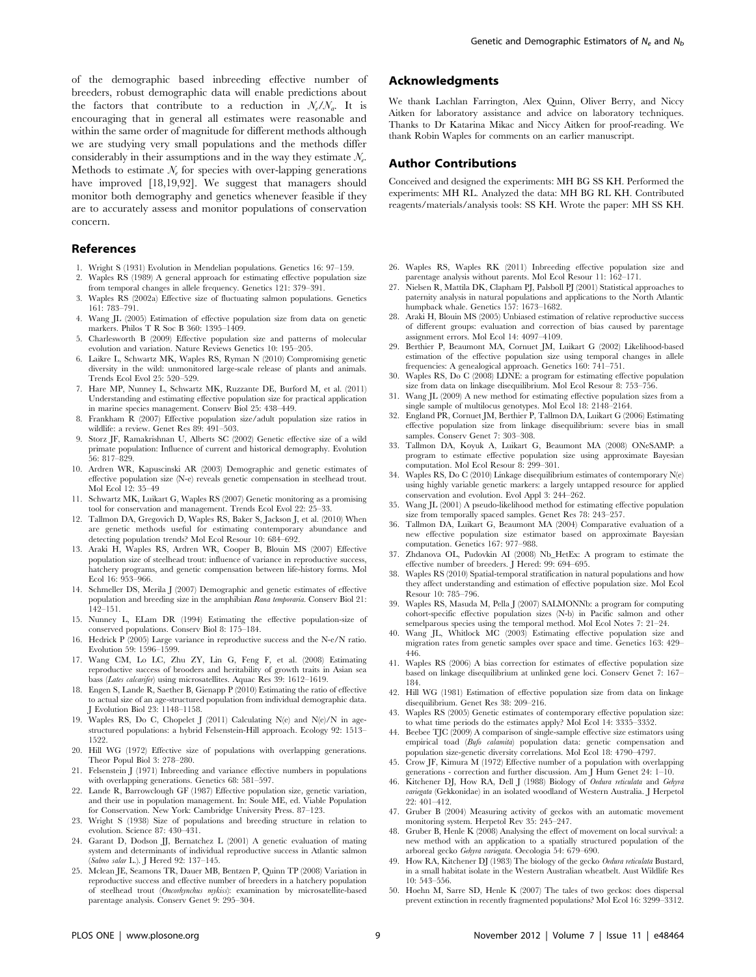of the demographic based inbreeding effective number of breeders, robust demographic data will enable predictions about the factors that contribute to a reduction in  $\mathcal{N}_e/\mathcal{N}_a$ . It is encouraging that in general all estimates were reasonable and within the same order of magnitude for different methods although we are studying very small populations and the methods differ considerably in their assumptions and in the way they estimate  $N_e$ . Methods to estimate  $N_e$  for species with over-lapping generations have improved [18,19,92]. We suggest that managers should monitor both demography and genetics whenever feasible if they are to accurately assess and monitor populations of conservation concern.

#### References

- 1. Wright S (1931) Evolution in Mendelian populations. Genetics 16: 97–159.
- 2. Waples RS (1989) A general approach for estimating effective population size from temporal changes in allele frequency. Genetics 121: 379–391.
- 3. Waples RS (2002a) Effective size of fluctuating salmon populations. Genetics 161: 783–791.
- 4. Wang JL (2005) Estimation of effective population size from data on genetic markers. Philos T R Soc B 360: 1395–1409.
- 5. Charlesworth B (2009) Effective population size and patterns of molecular evolution and variation. Nature Reviews Genetics 10: 195–205.
- 6. Laikre L, Schwartz MK, Waples RS, Ryman N (2010) Compromising genetic diversity in the wild: unmonitored large-scale release of plants and animals. Trends Ecol Evol 25: 520–529.
- 7. Hare MP, Nunney L, Schwartz MK, Ruzzante DE, Burford M, et al. (2011) Understanding and estimating effective population size for practical application in marine species management. Conserv Biol 25: 438–449.
- 8. Frankham R (2007) Effective population size/adult population size ratios in wildlife: a review. Genet Res 89: 491–503.
- 9. Storz JF, Ramakrishnan U, Alberts SC (2002) Genetic effective size of a wild primate population: Influence of current and historical demography. Evolution 56: 817–829.
- 10. Ardren WR, Kapuscinski AR (2003) Demographic and genetic estimates of effective population size (N-e) reveals genetic compensation in steelhead trout. Mol Ecol 12: 35–49
- 11. Schwartz MK, Luikart G, Waples RS (2007) Genetic monitoring as a promising tool for conservation and management. Trends Ecol Evol 22: 25–33.
- 12. Tallmon DA, Gregovich D, Waples RS, Baker S, Jackson J, et al. (2010) When are genetic methods useful for estimating contemporary abundance and detecting population trends? Mol Ecol Resour 10: 684–692.
- 13. Araki H, Waples RS, Ardren WR, Cooper B, Blouin MS (2007) Effective population size of steelhead trout: influence of variance in reproductive success, hatchery programs, and genetic compensation between life-history forms. Mol Ecol 16: 953–966.
- 14. Schmeller DS, Merila J (2007) Demographic and genetic estimates of effective population and breeding size in the amphibian Rana temporaria. Conserv Biol 21: 142–151.
- 15. Nunney L, ELam DR (1994) Estimating the effective population-size of conserved populations. Conserv Biol 8: 175–184.
- 16. Hedrick P (2005) Large variance in reproductive success and the N-e/N ratio. Evolution 59: 1596–1599.
- 17. Wang CM, Lo LC, Zhu ZY, Lin G, Feng F, et al. (2008) Estimating reproductive success of brooders and heritability of growth traits in Asian sea bass (Lates calcarifer) using microsatellites. Aquac Res 39: 1612–1619.
- 18. Engen S, Lande R, Saether B, Gienapp P (2010) Estimating the ratio of effective to actual size of an age-structured population from individual demographic data. J Evolution Biol 23: 1148–1158.
- 19. Waples RS, Do C, Chopelet J (2011) Calculating N(e) and N(e)/N in agestructured populations: a hybrid Felsenstein-Hill approach. Ecology 92: 1513– 1522.
- 20. Hill WG (1972) Effective size of populations with overlapping generations. Theor Popul Biol 3: 278–280.
- 21. Felsenstein J (1971) Inbreeding and variance effective numbers in populations with overlapping generations. Genetics 68: 581–597.
- 22. Lande R, Barrowclough GF (1987) Effective population size, genetic variation, and their use in population management. In: Soule ME, ed. Viable Population for Conservation. New York: Cambridge University Press. 87–123.
- 23. Wright S (1938) Size of populations and breeding structure in relation to evolution. Science 87: 430–431.
- 24. Garant D, Dodson JJ, Bernatchez L (2001) A genetic evaluation of mating system and determinants of individual reproductive success in Atlantic salmon (Salmo salar L.). J Hered 92: 137–145.
- 25. Mclean JE, Seamons TR, Dauer MB, Bentzen P, Quinn TP (2008) Variation in reproductive success and effective number of breeders in a hatchery population of steelhead trout (Oncorhynchus mykiss): examination by microsatellite-based parentage analysis. Conserv Genet 9: 295–304.

# Acknowledgments

We thank Lachlan Farrington, Alex Quinn, Oliver Berry, and Niccy Aitken for laboratory assistance and advice on laboratory techniques. Thanks to Dr Katarina Mikac and Niccy Aitken for proof-reading. We thank Robin Waples for comments on an earlier manuscript.

### Author Contributions

Conceived and designed the experiments: MH BG SS KH. Performed the experiments: MH RL. Analyzed the data: MH BG RL KH. Contributed reagents/materials/analysis tools: SS KH. Wrote the paper: MH SS KH.

- 26. Waples RS, Waples RK (2011) Inbreeding effective population size and parentage analysis without parents. Mol Ecol Resour 11: 162–171.
- 27. Nielsen R, Mattila DK, Clapham PL Palsboll PI (2001) Statistical approaches to paternity analysis in natural populations and applications to the North Atlantic humpback whale. Genetics 157: 1673–1682.
- 28. Araki H, Blouin MS (2005) Unbiased estimation of relative reproductive success of different groups: evaluation and correction of bias caused by parentage assignment errors. Mol Ecol 14: 4097–4109.
- 29. Berthier P, Beaumont MA, Cornuet JM, Luikart G (2002) Likelihood-based estimation of the effective population size using temporal changes in allele frequencies: A genealogical approach. Genetics 160: 741–751.
- 30. Waples RS, Do C (2008) LDNE: a program for estimating effective population size from data on linkage disequilibrium. Mol Ecol Resour 8: 753–756.
- 31. Wang JL (2009) A new method for estimating effective population sizes from a single sample of multilocus genotypes. Mol Ecol 18: 2148–2164.
- 32. England PR, Cornuet JM, Berthier P, Tallmon DA, Luikart G (2006) Estimating effective population size from linkage disequilibrium: severe bias in small samples. Conserv Genet 7: 303–308.
- 33. Tallmon DA, Koyuk A, Luikart G, Beaumont MA (2008) ONeSAMP: a program to estimate effective population size using approximate Bayesian computation. Mol Ecol Resour 8: 299-301.
- 34. Waples RS, Do C (2010) Linkage disequilibrium estimates of contemporary N(e) using highly variable genetic markers: a largely untapped resource for applied conservation and evolution. Evol Appl 3: 244–262.
- 35. Wang JL (2001) A pseudo-likelihood method for estimating effective population size from temporally spaced samples. Genet Res 78: 243–257.
- 36. Tallmon DA, Luikart G, Beaumont MA (2004) Comparative evaluation of a new effective population size estimator based on approximate Bayesian computation. Genetics 167: 977–988.
- 37. Zhdanova OL, Pudovkin AI (2008) Nb\_HetEx: A program to estimate the effective number of breeders. J Hered: 99: 694–695.
- 38. Waples RS (2010) Spatial-temporal stratification in natural populations and how they affect understanding and estimation of effective population size. Mol Ecol Resour 10: 785–796.
- 39. Waples RS, Masuda M, Pella J (2007) SALMONNb: a program for computing cohort-specific effective population sizes (N-b) in Pacific salmon and other semelparous species using the temporal method. Mol Ecol Notes 7: 21–24.
- 40. Wang JL, Whitlock MC (2003) Estimating effective population size and migration rates from genetic samples over space and time. Genetics 163: 429– 446.
- 41. Waples RS (2006) A bias correction for estimates of effective population size based on linkage disequilibrium at unlinked gene loci. Conserv Genet 7: 167– 184.
- 42. Hill WG (1981) Estimation of effective population size from data on linkage disequilibrium. Genet Res 38: 209–216.
- 43. Waples RS (2005) Genetic estimates of contemporary effective population size: to what time periods do the estimates apply? Mol Ecol 14: 3335–3352.
- 44. Beebee TJC (2009) A comparison of single-sample effective size estimators using empirical toad (Bufo calamita) population data: genetic compensation and population size-genetic diversity correlations. Mol Ecol 18: 4790–4797.
- 45. Crow JF, Kimura M (1972) Effective number of a population with overlapping generations - correction and further discussion. Am J Hum Genet 24: 1–10.
- 46. Kitchener DJ, How RA, Dell J (1988) Biology of Oedura reticulata and Gehyra variegata (Gekkonidae) in an isolated woodland of Western Australia. J Herpetol 22: 401–412.
- 47. Gruber B (2004) Measuring activity of geckos with an automatic movement monitoring system. Herpetol Rev 35: 245–247.
- 48. Gruber B, Henle K (2008) Analysing the effect of movement on local survival: a new method with an application to a spatially structured population of the arboreal gecko Gehyra variegata. Oecologia 54: 679–690.
- 49. How RA, Kitchener DJ (1983) The biology of the gecko Oedura reticulata Bustard, in a small habitat isolate in the Western Australian wheatbelt. Aust Wildlife Res 10: 543–556.
- 50. Hoehn M, Sarre SD, Henle K (2007) The tales of two geckos: does dispersal prevent extinction in recently fragmented populations? Mol Ecol 16: 3299–3312.